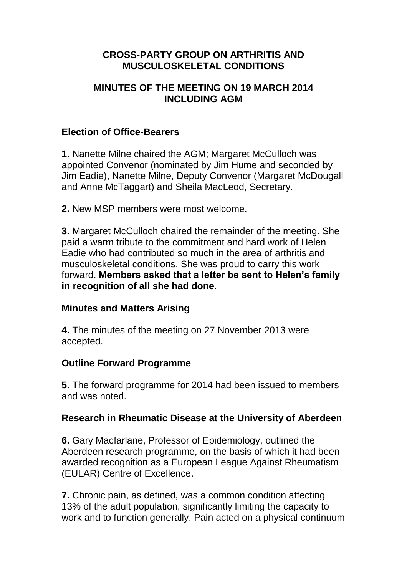# **CROSS-PARTY GROUP ON ARTHRITIS AND MUSCULOSKELETAL CONDITIONS**

### **MINUTES OF THE MEETING ON 19 MARCH 2014 INCLUDING AGM**

## **Election of Office-Bearers**

**1.** Nanette Milne chaired the AGM; Margaret McCulloch was appointed Convenor (nominated by Jim Hume and seconded by Jim Eadie), Nanette Milne, Deputy Convenor (Margaret McDougall and Anne McTaggart) and Sheila MacLeod, Secretary.

**2.** New MSP members were most welcome.

**3.** Margaret McCulloch chaired the remainder of the meeting. She paid a warm tribute to the commitment and hard work of Helen Eadie who had contributed so much in the area of arthritis and musculoskeletal conditions. She was proud to carry this work forward. **Members asked that a letter be sent to Helen's family in recognition of all she had done.** 

## **Minutes and Matters Arising**

**4.** The minutes of the meeting on 27 November 2013 were accepted.

## **Outline Forward Programme**

**5.** The forward programme for 2014 had been issued to members and was noted.

## **Research in Rheumatic Disease at the University of Aberdeen**

**6.** Gary Macfarlane, Professor of Epidemiology, outlined the Aberdeen research programme, on the basis of which it had been awarded recognition as a European League Against Rheumatism (EULAR) Centre of Excellence.

**7.** Chronic pain, as defined, was a common condition affecting 13% of the adult population, significantly limiting the capacity to work and to function generally. Pain acted on a physical continuum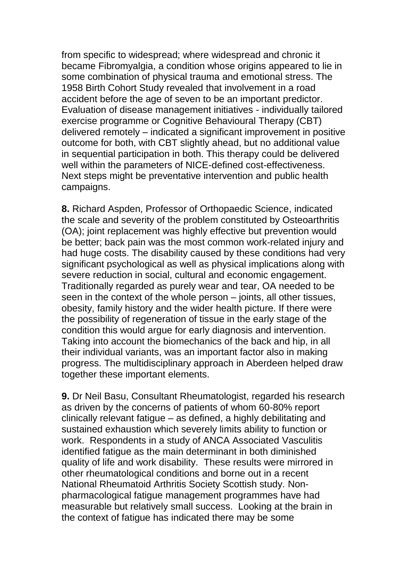from specific to widespread; where widespread and chronic it became Fibromyalgia, a condition whose origins appeared to lie in some combination of physical trauma and emotional stress. The 1958 Birth Cohort Study revealed that involvement in a road accident before the age of seven to be an important predictor. Evaluation of disease management initiatives - individually tailored exercise programme or Cognitive Behavioural Therapy (CBT) delivered remotely – indicated a significant improvement in positive outcome for both, with CBT slightly ahead, but no additional value in sequential participation in both. This therapy could be delivered well within the parameters of NICE-defined cost-effectiveness. Next steps might be preventative intervention and public health campaigns.

**8.** Richard Aspden, Professor of Orthopaedic Science, indicated the scale and severity of the problem constituted by Osteoarthritis (OA); joint replacement was highly effective but prevention would be better; back pain was the most common work-related injury and had huge costs. The disability caused by these conditions had very significant psychological as well as physical implications along with severe reduction in social, cultural and economic engagement. Traditionally regarded as purely wear and tear, OA needed to be seen in the context of the whole person – joints, all other tissues, obesity, family history and the wider health picture. If there were the possibility of regeneration of tissue in the early stage of the condition this would argue for early diagnosis and intervention. Taking into account the biomechanics of the back and hip, in all their individual variants, was an important factor also in making progress. The multidisciplinary approach in Aberdeen helped draw together these important elements.

**9.** Dr Neil Basu, Consultant Rheumatologist, regarded his research as driven by the concerns of patients of whom 60-80% report clinically relevant fatigue – as defined, a highly debilitating and sustained exhaustion which severely limits ability to function or work. Respondents in a study of ANCA Associated Vasculitis identified fatigue as the main determinant in both diminished quality of life and work disability. These results were mirrored in other rheumatological conditions and borne out in a recent National Rheumatoid Arthritis Society Scottish study. Nonpharmacological fatigue management programmes have had measurable but relatively small success. Looking at the brain in the context of fatigue has indicated there may be some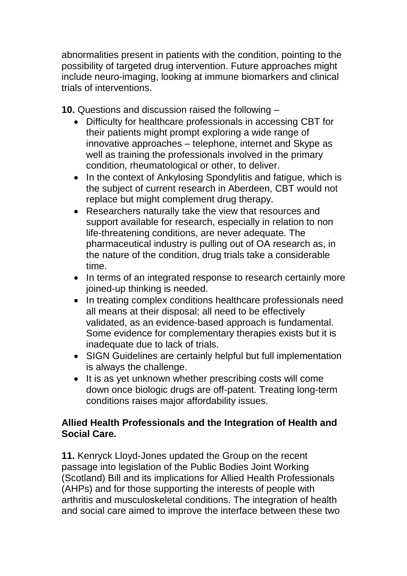abnormalities present in patients with the condition, pointing to the possibility of targeted drug intervention. Future approaches might include neuro-imaging, looking at immune biomarkers and clinical trials of interventions.

**10.** Questions and discussion raised the following –

- Difficulty for healthcare professionals in accessing CBT for their patients might prompt exploring a wide range of innovative approaches – telephone, internet and Skype as well as training the professionals involved in the primary condition, rheumatological or other, to deliver.
- In the context of Ankylosing Spondylitis and fatigue, which is the subject of current research in Aberdeen, CBT would not replace but might complement drug therapy.
- Researchers naturally take the view that resources and support available for research, especially in relation to non life-threatening conditions, are never adequate. The pharmaceutical industry is pulling out of OA research as, in the nature of the condition, drug trials take a considerable time.
- In terms of an integrated response to research certainly more joined-up thinking is needed.
- In treating complex conditions healthcare professionals need all means at their disposal; all need to be effectively validated, as an evidence-based approach is fundamental. Some evidence for complementary therapies exists but it is inadequate due to lack of trials.
- SIGN Guidelines are certainly helpful but full implementation is always the challenge.
- It is as yet unknown whether prescribing costs will come down once biologic drugs are off-patent. Treating long-term conditions raises major affordability issues.

# **Allied Health Professionals and the Integration of Health and Social Care.**

**11.** Kenryck Lloyd-Jones updated the Group on the recent passage into legislation of the Public Bodies Joint Working (Scotland) Bill and its implications for Allied Health Professionals (AHPs) and for those supporting the interests of people with arthritis and musculoskeletal conditions. The integration of health and social care aimed to improve the interface between these two